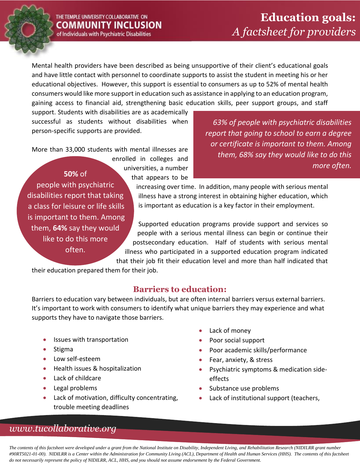Mental health providers have been described as being unsupportive of their client's educational goals and have little contact with personnel to coordinate supports to assist the student in meeting his or her educational objectives. However, this support is essential to consumers as up to 52% of mental health consumers would like more support in education such as assistance in applying to an education program, gaining access to financial aid, strengthening basic education skills, peer support groups, and staff

that appears to be

support. Students with disabilities are as academically successful as students without disabilities when person-specific supports are provided.

More than 33,000 students with mental illnesses are enrolled in colleges and

universities, a number **50%** of people with psychiatric disabilities report that taking a class for leisure or life skills is important to them. Among them, **64%** say they would like to do this more often.

*63% of people with psychiatric disabilities report that going to school to earn a degree or certificate is important to them. Among them, 68% say they would like to do this more often.*

increasing over time. In addition, many people with serious mental illness have a strong interest in obtaining higher education, which is important as education is a key factor in their employment.

Supported education programs provide support and services so people with a serious mental illness can begin or continue their postsecondary education. Half of students with serious mental illness who participated in a supported education program indicated that their job fit their education level and more than half indicated that

their education prepared them for their job.

#### **Barriers to education:**

Barriers to education vary between individuals, but are often internal barriers versus external barriers. It's important to work with consumers to identify what unique barriers they may experience and what supports they have to navigate those barriers.

- Issues with transportation
- Stigma
- Low self-esteem
- Health issues & hospitalization
- Lack of childcare
- Legal problems
- Lack of motivation, difficulty concentrating, trouble meeting deadlines
- Lack of money
- Poor social support
- Poor academic skills/performance
- Fear, anxiety, & stress
- **•** Psychiatric symptoms & medication sideeffects
- Substance use problems
- Lack of institutional support (teachers,

# *www.tucollaborative.org*

*The contents of this factsheet were developed under a grant from the National Institute on Disability, Independent Living, and Rehabilitation Research (NIDILRR grant number #90RT5021-01-00). NIDILRR is a Center within the Administration for Community Living (ACL), Department of Health and Human Services (HHS). The contents of this factsheet do not necessarily represent the policy of NIDILRR, ACL, HHS, and you should not assume endorsement by the Federal Government.*